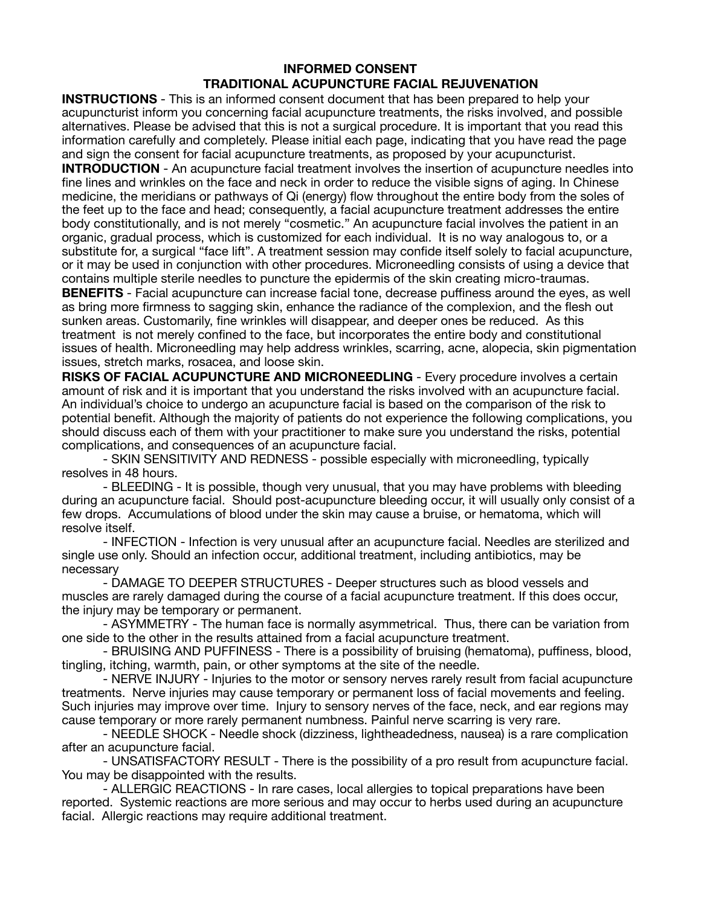## **INFORMED CONSENT TRADITIONAL ACUPUNCTURE FACIAL REJUVENATION**

**INSTRUCTIONS** - This is an informed consent document that has been prepared to help your acupuncturist inform you concerning facial acupuncture treatments, the risks involved, and possible alternatives. Please be advised that this is not a surgical procedure. It is important that you read this information carefully and completely. Please initial each page, indicating that you have read the page and sign the consent for facial acupuncture treatments, as proposed by your acupuncturist.

**INTRODUCTION** - An acupuncture facial treatment involves the insertion of acupuncture needles into fine lines and wrinkles on the face and neck in order to reduce the visible signs of aging. In Chinese medicine, the meridians or pathways of Qi (energy) flow throughout the entire body from the soles of the feet up to the face and head; consequently, a facial acupuncture treatment addresses the entire body constitutionally, and is not merely "cosmetic." An acupuncture facial involves the patient in an organic, gradual process, which is customized for each individual. It is no way analogous to, or a substitute for, a surgical "face lift". A treatment session may confide itself solely to facial acupuncture, or it may be used in conjunction with other procedures. Microneedling consists of using a device that contains multiple sterile needles to puncture the epidermis of the skin creating micro-traumas.

**BENEFITS** - Facial acupuncture can increase facial tone, decrease puffiness around the eves, as well as bring more firmness to sagging skin, enhance the radiance of the complexion, and the flesh out sunken areas. Customarily, fine wrinkles will disappear, and deeper ones be reduced. As this treatment is not merely confined to the face, but incorporates the entire body and constitutional issues of health. Microneedling may help address wrinkles, scarring, acne, alopecia, skin pigmentation issues, stretch marks, rosacea, and loose skin.

**RISKS OF FACIAL ACUPUNCTURE AND MICRONEEDLING** - Every procedure involves a certain amount of risk and it is important that you understand the risks involved with an acupuncture facial. An individual's choice to undergo an acupuncture facial is based on the comparison of the risk to potential benefit. Although the majority of patients do not experience the following complications, you should discuss each of them with your practitioner to make sure you understand the risks, potential complications, and consequences of an acupuncture facial.

- SKIN SENSITIVITY AND REDNESS - possible especially with microneedling, typically resolves in 48 hours.

- BLEEDING - It is possible, though very unusual, that you may have problems with bleeding during an acupuncture facial. Should post-acupuncture bleeding occur, it will usually only consist of a few drops. Accumulations of blood under the skin may cause a bruise, or hematoma, which will resolve itself.

- INFECTION - Infection is very unusual after an acupuncture facial. Needles are sterilized and single use only. Should an infection occur, additional treatment, including antibiotics, may be necessary

- DAMAGE TO DEEPER STRUCTURES - Deeper structures such as blood vessels and muscles are rarely damaged during the course of a facial acupuncture treatment. If this does occur, the injury may be temporary or permanent.

- ASYMMETRY - The human face is normally asymmetrical. Thus, there can be variation from one side to the other in the results attained from a facial acupuncture treatment.

- BRUISING AND PUFFINESS - There is a possibility of bruising (hematoma), puffiness, blood, tingling, itching, warmth, pain, or other symptoms at the site of the needle.

- NERVE INJURY - Injuries to the motor or sensory nerves rarely result from facial acupuncture treatments. Nerve injuries may cause temporary or permanent loss of facial movements and feeling. Such injuries may improve over time. Injury to sensory nerves of the face, neck, and ear regions may cause temporary or more rarely permanent numbness. Painful nerve scarring is very rare.

- NEEDLE SHOCK - Needle shock (dizziness, lightheadedness, nausea) is a rare complication after an acupuncture facial.

- UNSATISFACTORY RESULT - There is the possibility of a pro result from acupuncture facial. You may be disappointed with the results.

- ALLERGIC REACTIONS - In rare cases, local allergies to topical preparations have been reported. Systemic reactions are more serious and may occur to herbs used during an acupuncture facial. Allergic reactions may require additional treatment.